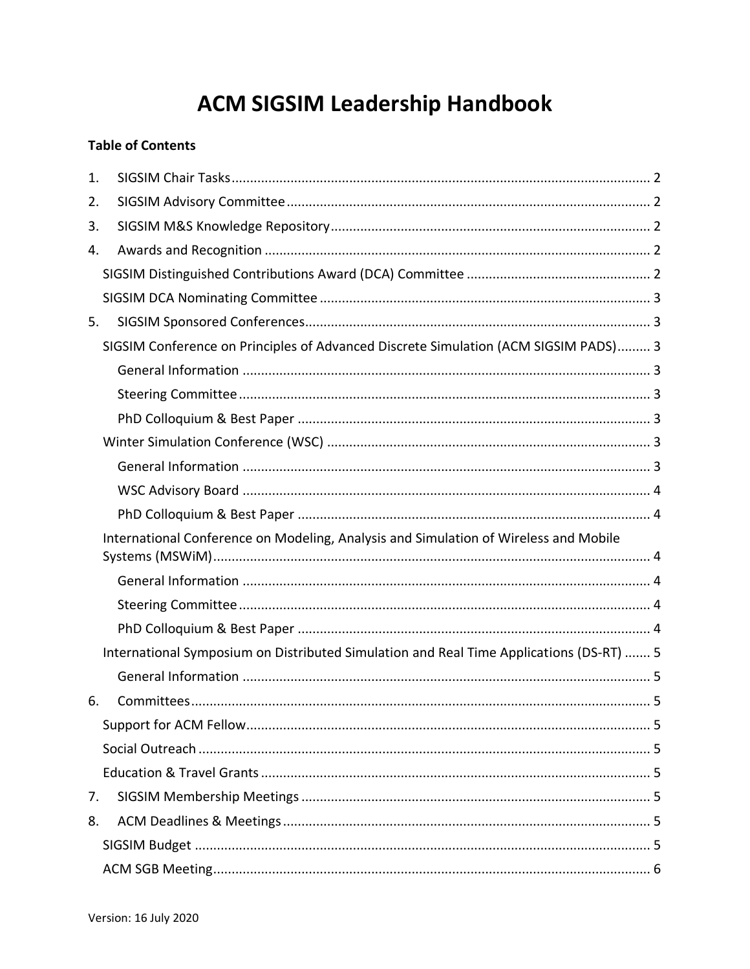# **ACM SIGSIM Leadership Handbook**

# **Table of Contents**

| 1. |                                                                                         |  |
|----|-----------------------------------------------------------------------------------------|--|
| 2. |                                                                                         |  |
| 3. |                                                                                         |  |
| 4. |                                                                                         |  |
|    |                                                                                         |  |
|    |                                                                                         |  |
| 5. |                                                                                         |  |
|    | SIGSIM Conference on Principles of Advanced Discrete Simulation (ACM SIGSIM PADS) 3     |  |
|    |                                                                                         |  |
|    |                                                                                         |  |
|    |                                                                                         |  |
|    |                                                                                         |  |
|    |                                                                                         |  |
|    |                                                                                         |  |
|    |                                                                                         |  |
|    |                                                                                         |  |
|    | International Conference on Modeling, Analysis and Simulation of Wireless and Mobile    |  |
|    |                                                                                         |  |
|    |                                                                                         |  |
|    |                                                                                         |  |
|    | International Symposium on Distributed Simulation and Real Time Applications (DS-RT)  5 |  |
|    |                                                                                         |  |
| 6. |                                                                                         |  |
|    |                                                                                         |  |
|    |                                                                                         |  |
|    |                                                                                         |  |
| 7. |                                                                                         |  |
| 8. |                                                                                         |  |
|    |                                                                                         |  |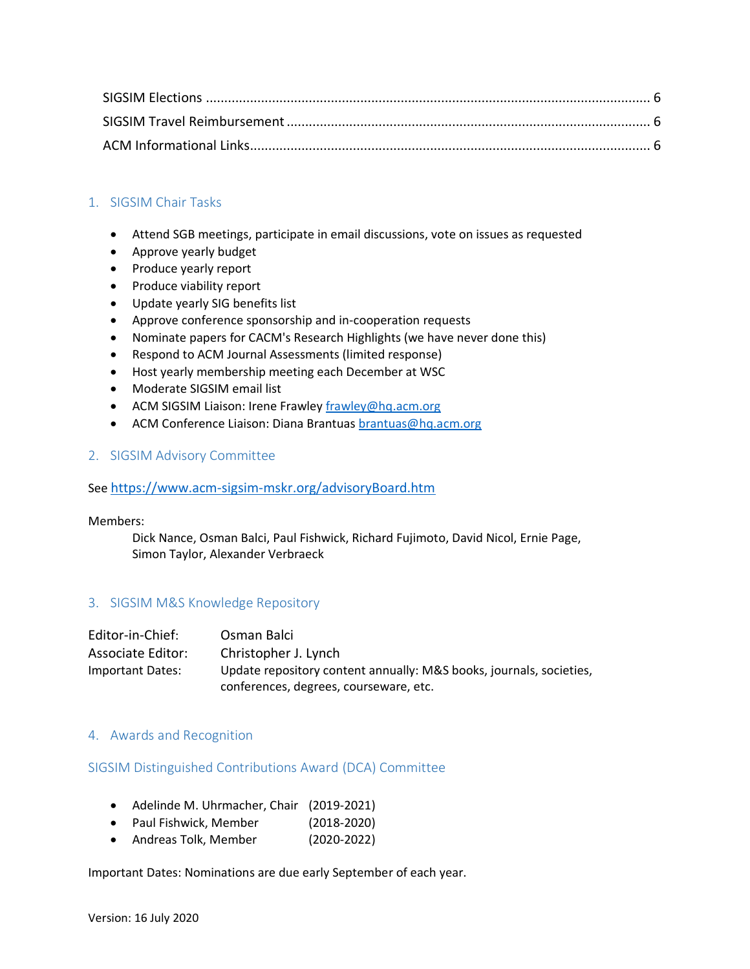# <span id="page-1-0"></span>1. SIGSIM Chair Tasks

- Attend SGB meetings, participate in email discussions, vote on issues as requested
- Approve yearly budget
- Produce yearly report
- Produce viability report
- Update yearly SIG benefits list
- Approve conference sponsorship and in-cooperation requests
- Nominate papers for CACM's Research Highlights (we have never done this)
- Respond to ACM Journal Assessments (limited response)
- Host yearly membership meeting each December at WSC
- Moderate SIGSIM email list
- ACM SIGSIM Liaison: Irene Frawley [frawley@hq.acm.org](mailto:frawley@hq.acm.org)
- ACM Conference Liaison: Diana Brantuas [brantuas@hq.acm.org](mailto:brantuas@hq.acm.org)

#### <span id="page-1-1"></span>2. SIGSIM Advisory Committee

See <https://www.acm-sigsim-mskr.org/advisoryBoard.htm>

Members:

Dick Nance, Osman Balci, Paul Fishwick, Richard Fujimoto, David Nicol, Ernie Page, Simon Taylor, Alexander Verbraeck

# <span id="page-1-2"></span>3. SIGSIM M&S Knowledge Repository

| Editor-in-Chief:  | Osman Balci                                                         |
|-------------------|---------------------------------------------------------------------|
| Associate Editor: | Christopher J. Lynch                                                |
| Important Dates:  | Update repository content annually: M&S books, journals, societies, |
|                   | conferences, degrees, courseware, etc.                              |

#### <span id="page-1-3"></span>4. Awards and Recognition

#### <span id="page-1-4"></span>SIGSIM Distinguished Contributions Award (DCA) Committee

- Adelinde M. Uhrmacher, Chair (2019-2021)
- Paul Fishwick, Member (2018-2020)
- Andreas Tolk, Member (2020-2022)

Important Dates: Nominations are due early September of each year.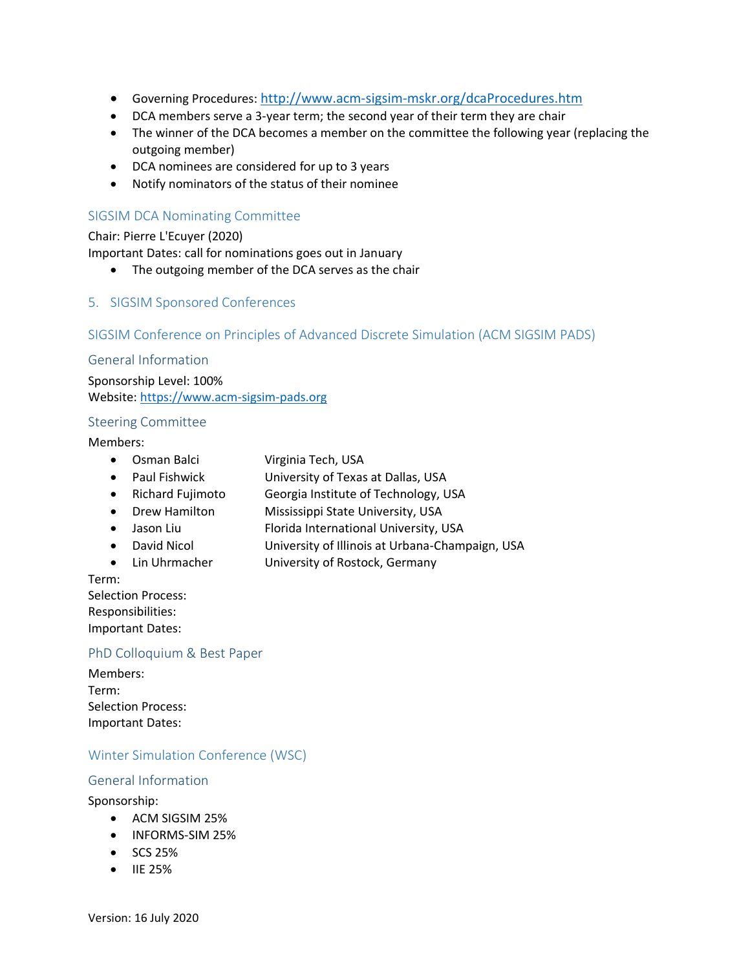- Governing Procedures: <http://www.acm-sigsim-mskr.org/dcaProcedures.htm>
- DCA members serve a 3-year term; the second year of their term they are chair
- The winner of the DCA becomes a member on the committee the following year (replacing the outgoing member)
- DCA nominees are considered for up to 3 years
- Notify nominators of the status of their nominee

# <span id="page-2-0"></span>SIGSIM DCA Nominating Committee

Chair: Pierre L'Ecuyer (2020) Important Dates: call for nominations goes out in January

- The outgoing member of the DCA serves as the chair
- <span id="page-2-1"></span>5. SIGSIM Sponsored Conferences

#### <span id="page-2-2"></span>SIGSIM Conference on Principles of Advanced Discrete Simulation (ACM SIGSIM PADS)

#### <span id="page-2-3"></span>General Information

Sponsorship Level: 100% Website: [https://www.acm-sigsim-pads.org](https://www.acm-sigsim-pads.org/)

#### <span id="page-2-4"></span>Steering Committee

#### Members:

- Osman Balci Virginia Tech, USA
- Paul Fishwick University of Texas at Dallas, USA
- Richard Fujimoto Georgia Institute of Technology, USA
- Drew Hamilton Mississippi State University, USA
- Jason Liu Florida International University, USA
- David Nicol University of Illinois at Urbana-Champaign, USA
- Lin Uhrmacher University of Rostock, Germany
- Term:

Selection Process: Responsibilities: Important Dates:

#### <span id="page-2-5"></span>PhD Colloquium & Best Paper

Members: Term: Selection Process: Important Dates:

# <span id="page-2-6"></span>Winter Simulation Conference (WSC)

#### <span id="page-2-7"></span>General Information

Sponsorship:

- ACM SIGSIM 25%
- INFORMS-SIM 25%
- SCS 25%
- IIE 25%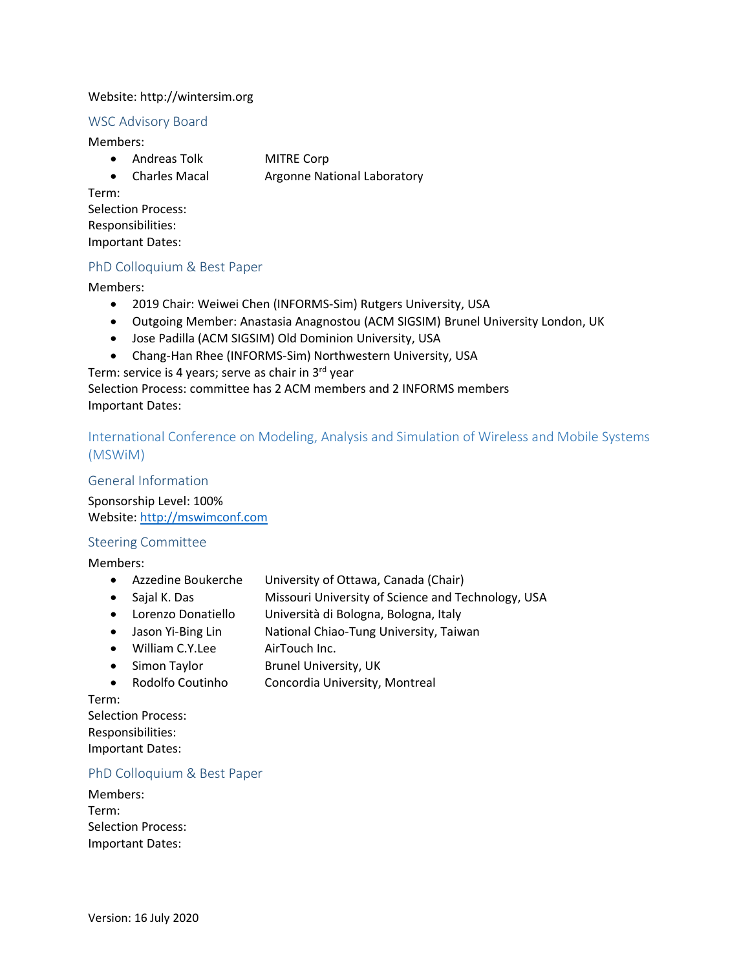#### Website: http://wintersim.org

#### <span id="page-3-0"></span>WSC Advisory Board

Members:

- Andreas Tolk MITRE Corp
- Charles Macal Argonne National Laboratory

Term:

Selection Process: Responsibilities: Important Dates:

#### <span id="page-3-1"></span>PhD Colloquium & Best Paper

Members:

- 2019 Chair: Weiwei Chen (INFORMS-Sim) Rutgers University, USA
- Outgoing Member: Anastasia Anagnostou (ACM SIGSIM) Brunel University London, UK
- Jose Padilla (ACM SIGSIM) Old Dominion University, USA
- Chang-Han Rhee (INFORMS-Sim) Northwestern University, USA

Term: service is 4 years; serve as chair in 3<sup>rd</sup> year

Selection Process: committee has 2 ACM members and 2 INFORMS members Important Dates:

<span id="page-3-2"></span>International Conference on Modeling, Analysis and Simulation of Wireless and Mobile Systems (MSWiM)

#### <span id="page-3-3"></span>General Information

Sponsorship Level: 100% Website: [http://mswimconf.com](http://mswimconf.com/)

#### <span id="page-3-4"></span>Steering Committee

Members:

- Azzedine Boukerche University of Ottawa, Canada (Chair)
- Sajal K. Das **Missouri University of Science and Technology**, USA
- Lorenzo Donatiello Università di Bologna, Bologna, Italy
- Jason Yi-Bing Lin National Chiao-Tung University, Taiwan
- William C.Y.Lee AirTouch Inc.
- Simon Taylor Brunel University, UK
- Rodolfo Coutinho Concordia University, Montreal

Term:

Selection Process: Responsibilities: Important Dates:

#### <span id="page-3-5"></span>PhD Colloquium & Best Paper

| Members:                  |  |  |
|---------------------------|--|--|
| Term:                     |  |  |
| <b>Selection Process:</b> |  |  |
| <b>Important Dates:</b>   |  |  |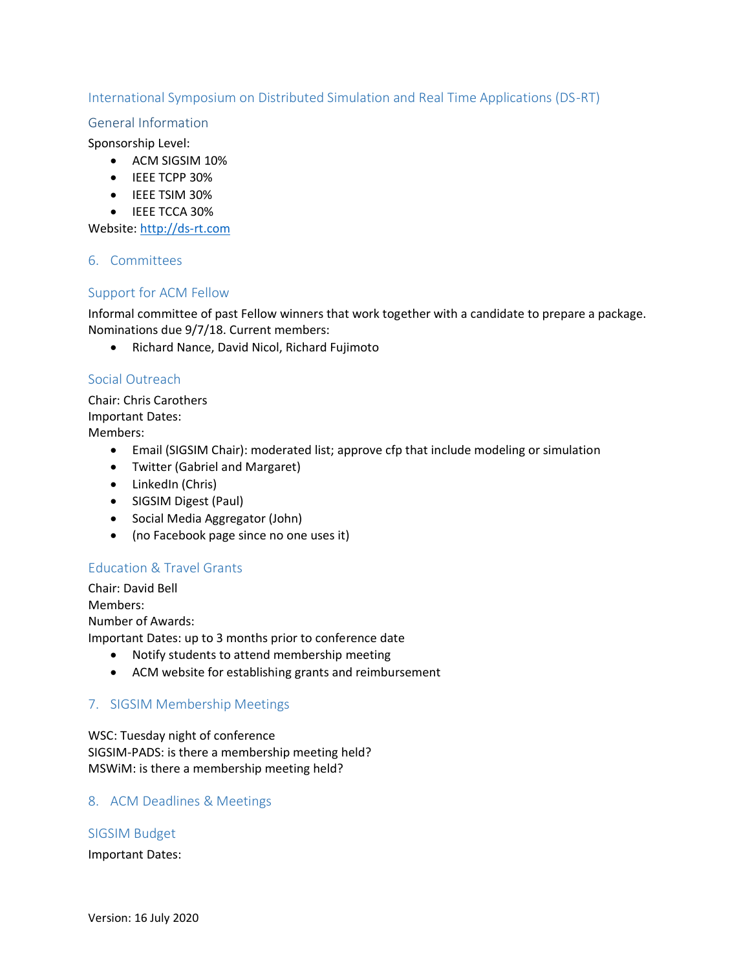# <span id="page-4-0"></span>International Symposium on Distributed Simulation and Real Time Applications (DS-RT)

#### <span id="page-4-1"></span>General Information

Sponsorship Level:

- ACM SIGSIM 10%
- IEEE TCPP 30%
- IEEE TSIM 30%
- IEEE TCCA 30%

<span id="page-4-2"></span>Website: [http://ds-rt.com](http://ds-rt.com/)

#### 6. Committees

#### <span id="page-4-3"></span>Support for ACM Fellow

Informal committee of past Fellow winners that work together with a candidate to prepare a package. Nominations due 9/7/18. Current members:

• Richard Nance, David Nicol, Richard Fujimoto

#### <span id="page-4-4"></span>Social Outreach

Chair: Chris Carothers Important Dates: Members:

- Email (SIGSIM Chair): moderated list; approve cfp that include modeling or simulation
- Twitter (Gabriel and Margaret)
- LinkedIn (Chris)
- SIGSIM Digest (Paul)
- Social Media Aggregator (John)
- (no Facebook page since no one uses it)

# <span id="page-4-5"></span>Education & Travel Grants

Chair: David Bell Members: Number of Awards:

- Important Dates: up to 3 months prior to conference date
	- Notify students to attend membership meeting
	- ACM website for establishing grants and reimbursement

# <span id="page-4-6"></span>7. SIGSIM Membership Meetings

WSC: Tuesday night of conference SIGSIM-PADS: is there a membership meeting held? MSWiM: is there a membership meeting held?

# <span id="page-4-7"></span>8. ACM Deadlines & Meetings

#### <span id="page-4-8"></span>SIGSIM Budget

Important Dates: